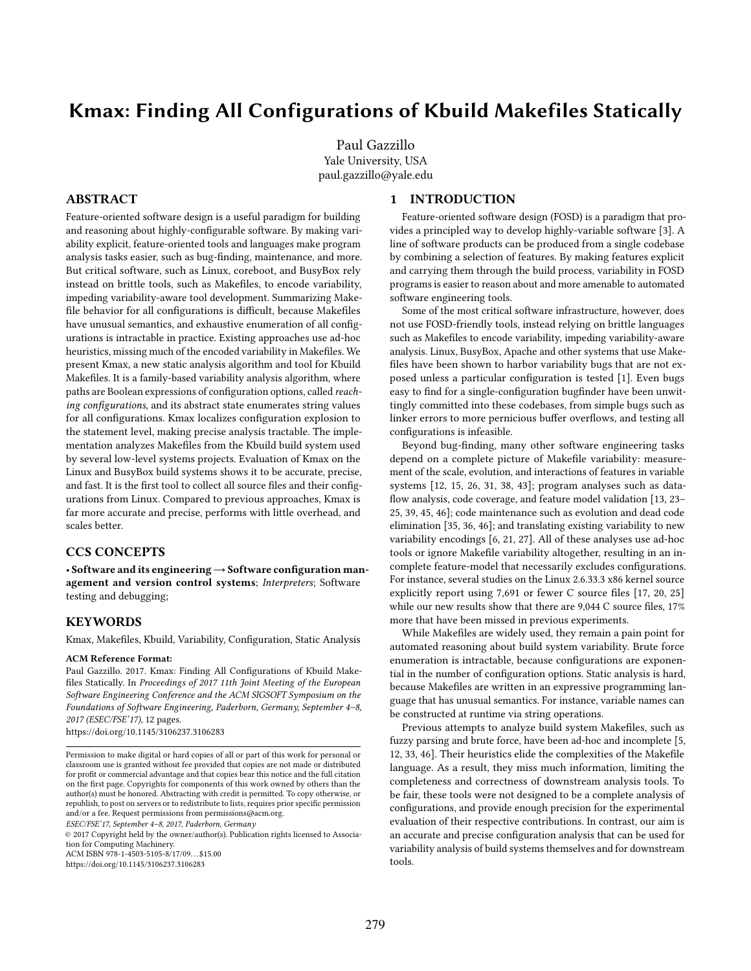# Kmax: Finding All Configurations of Kbuild Makefiles Statically

Paul Gazzillo Yale University, USA paul.gazzillo@yale.edu

# ABSTRACT

Feature-oriented software design is a useful paradigm for building and reasoning about highly-configurable software. By making variability explicit, feature-oriented tools and languages make program analysis tasks easier, such as bug-finding, maintenance, and more. But critical software, such as Linux, coreboot, and BusyBox rely instead on brittle tools, such as Makefiles, to encode variability, impeding variability-aware tool development. Summarizing Makefile behavior for all configurations is difficult, because Makefiles have unusual semantics, and exhaustive enumeration of all configurations is intractable in practice. Existing approaches use ad-hoc heuristics, missing much of the encoded variability in Makefiles. We present Kmax, a new static analysis algorithm and tool for Kbuild Makefiles. It is a family-based variability analysis algorithm, where paths are Boolean expressions of configuration options, called reaching configurations, and its abstract state enumerates string values for all configurations. Kmax localizes configuration explosion to the statement level, making precise analysis tractable. The implementation analyzes Makefiles from the Kbuild build system used by several low-level systems projects. Evaluation of Kmax on the Linux and BusyBox build systems shows it to be accurate, precise, and fast. It is the first tool to collect all source files and their configurations from Linux. Compared to previous approaches, Kmax is far more accurate and precise, performs with little overhead, and scales better.

# CCS CONCEPTS

• Software and its engineering  $\rightarrow$  Software configuration management and version control systems; Interpreters; Software testing and debugging;

### **KEYWORDS**

Kmax, Makefiles, Kbuild, Variability, Configuration, Static Analysis

#### ACM Reference Format:

Paul Gazzillo. 2017. Kmax: Finding All Configurations of Kbuild Makefiles Statically. In Proceedings of 2017 11th Joint Meeting of the European Software Engineering Conference and the ACM SIGSOFT Symposium on the Foundations of Software Engineering, Paderborn, Germany, September 4–8, 2017 (ESEC/FSE'17), [12](#page-11-0) pages.

<https://doi.org/10.1145/3106237.3106283>

ESEC/FSE'17, September 4–8, 2017, Paderborn, Germany

© 2017 Copyright held by the owner/author(s). Publication rights licensed to Association for Computing Machinery. ACM ISBN 978-1-4503-5105-8/17/09...\$15.00

<https://doi.org/10.1145/3106237.3106283>

# 1 INTRODUCTION

Feature-oriented software design (FOSD) is a paradigm that provides a principled way to develop highly-variable software [\[3\]](#page-10-0). A line of software products can be produced from a single codebase by combining a selection of features. By making features explicit and carrying them through the build process, variability in FOSD programs is easier to reason about and more amenable to automated software engineering tools.

Some of the most critical software infrastructure, however, does not use FOSD-friendly tools, instead relying on brittle languages such as Makefiles to encode variability, impeding variability-aware analysis. Linux, BusyBox, Apache and other systems that use Makefiles have been shown to harbor variability bugs that are not exposed unless a particular configuration is tested [\[1\]](#page-10-1). Even bugs easy to find for a single-configuration bugfinder have been unwittingly committed into these codebases, from simple bugs such as linker errors to more pernicious buffer overflows, and testing all configurations is infeasible.

Beyond bug-finding, many other software engineering tasks depend on a complete picture of Makefile variability: measurement of the scale, evolution, and interactions of features in variable systems [\[12,](#page-10-2) [15,](#page-10-3) [26,](#page-10-4) [31,](#page-10-5) [38,](#page-10-6) [43\]](#page-11-1); program analyses such as dataflow analysis, code coverage, and feature model validation [\[13,](#page-10-7) [23–](#page-10-8) [25,](#page-10-9) [39,](#page-10-10) [45,](#page-11-2) [46\]](#page-11-3); code maintenance such as evolution and dead code elimination [\[35,](#page-10-11) [36,](#page-10-12) [46\]](#page-11-3); and translating existing variability to new variability encodings [\[6,](#page-10-13) [21,](#page-10-14) [27\]](#page-10-15). All of these analyses use ad-hoc tools or ignore Makefile variability altogether, resulting in an incomplete feature-model that necessarily excludes configurations. For instance, several studies on the Linux 2.6.33.3 x86 kernel source explicitly report using 7,691 or fewer C source files [\[17,](#page-10-16) [20,](#page-10-17) [25\]](#page-10-9) while our new results show that there are 9,044 C source files, 17% more that have been missed in previous experiments.

While Makefiles are widely used, they remain a pain point for automated reasoning about build system variability. Brute force enumeration is intractable, because configurations are exponential in the number of configuration options. Static analysis is hard, because Makefiles are written in an expressive programming language that has unusual semantics. For instance, variable names can be constructed at runtime via string operations.

Previous attempts to analyze build system Makefiles, such as fuzzy parsing and brute force, have been ad-hoc and incomplete [\[5,](#page-10-18) [12,](#page-10-2) [33,](#page-10-19) [46\]](#page-11-3). Their heuristics elide the complexities of the Makefile language. As a result, they miss much information, limiting the completeness and correctness of downstream analysis tools. To be fair, these tools were not designed to be a complete analysis of configurations, and provide enough precision for the experimental evaluation of their respective contributions. In contrast, our aim is an accurate and precise configuration analysis that can be used for variability analysis of build systems themselves and for downstream tools.

Permission to make digital or hard copies of all or part of this work for personal or classroom use is granted without fee provided that copies are not made or distributed for profit or commercial advantage and that copies bear this notice and the full citation on the first page. Copyrights for components of this work owned by others than the author(s) must be honored. Abstracting with credit is permitted. To copy otherwise, or republish, to post on servers or to redistribute to lists, requires prior specific permission and/or a fee. Request permissions from permissions@acm.org.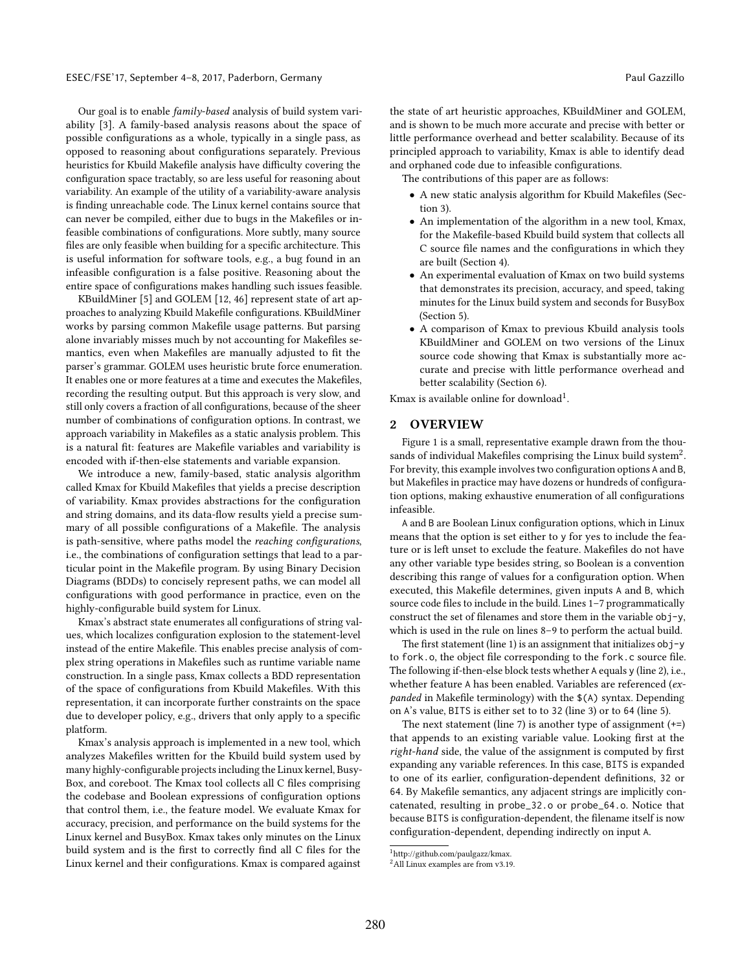#### ESEC/FSE'17, September 4–8, 2017, Paderborn, Germany Paul Gazzillo

Our goal is to enable family-based analysis of build system variability [\[3\]](#page-10-0). A family-based analysis reasons about the space of possible configurations as a whole, typically in a single pass, as opposed to reasoning about configurations separately. Previous heuristics for Kbuild Makefile analysis have difficulty covering the configuration space tractably, so are less useful for reasoning about variability. An example of the utility of a variability-aware analysis is finding unreachable code. The Linux kernel contains source that can never be compiled, either due to bugs in the Makefiles or infeasible combinations of configurations. More subtly, many source files are only feasible when building for a specific architecture. This is useful information for software tools, e.g., a bug found in an infeasible configuration is a false positive. Reasoning about the entire space of configurations makes handling such issues feasible.

KBuildMiner [\[5\]](#page-10-18) and GOLEM [\[12,](#page-10-2) [46\]](#page-11-3) represent state of art approaches to analyzing Kbuild Makefile configurations. KBuildMiner works by parsing common Makefile usage patterns. But parsing alone invariably misses much by not accounting for Makefiles semantics, even when Makefiles are manually adjusted to fit the parser's grammar. GOLEM uses heuristic brute force enumeration. It enables one or more features at a time and executes the Makefiles, recording the resulting output. But this approach is very slow, and still only covers a fraction of all configurations, because of the sheer number of combinations of configuration options. In contrast, we approach variability in Makefiles as a static analysis problem. This is a natural fit: features are Makefile variables and variability is encoded with if-then-else statements and variable expansion.

We introduce a new, family-based, static analysis algorithm called Kmax for Kbuild Makefiles that yields a precise description of variability. Kmax provides abstractions for the configuration and string domains, and its data-flow results yield a precise summary of all possible configurations of a Makefile. The analysis is path-sensitive, where paths model the reaching configurations, i.e., the combinations of configuration settings that lead to a particular point in the Makefile program. By using Binary Decision Diagrams (BDDs) to concisely represent paths, we can model all configurations with good performance in practice, even on the highly-configurable build system for Linux.

Kmax's abstract state enumerates all configurations of string values, which localizes configuration explosion to the statement-level instead of the entire Makefile. This enables precise analysis of complex string operations in Makefiles such as runtime variable name construction. In a single pass, Kmax collects a BDD representation of the space of configurations from Kbuild Makefiles. With this representation, it can incorporate further constraints on the space due to developer policy, e.g., drivers that only apply to a specific platform.

Kmax's analysis approach is implemented in a new tool, which analyzes Makefiles written for the Kbuild build system used by many highly-configurable projects including the Linux kernel, Busy-Box, and coreboot. The Kmax tool collects all C files comprising the codebase and Boolean expressions of configuration options that control them, i.e., the feature model. We evaluate Kmax for accuracy, precision, and performance on the build systems for the Linux kernel and BusyBox. Kmax takes only minutes on the Linux build system and is the first to correctly find all C files for the Linux kernel and their configurations. Kmax is compared against

the state of art heuristic approaches, KBuildMiner and GOLEM, and is shown to be much more accurate and precise with better or little performance overhead and better scalability. Because of its principled approach to variability, Kmax is able to identify dead and orphaned code due to infeasible configurations.

The contributions of this paper are as follows:

- A new static analysis algorithm for Kbuild Makefiles (Section [3\)](#page-3-0).
- An implementation of the algorithm in a new tool, Kmax, for the Makefile-based Kbuild build system that collects all C source file names and the configurations in which they are built (Section [4\)](#page-5-0).
- An experimental evaluation of Kmax on two build systems that demonstrates its precision, accuracy, and speed, taking minutes for the Linux build system and seconds for BusyBox (Section [5\)](#page-6-0).
- A comparison of Kmax to previous Kbuild analysis tools KBuildMiner and GOLEM on two versions of the Linux source code showing that Kmax is substantially more accurate and precise with little performance overhead and better scalability (Section [6\)](#page-7-0).

Kmax is available online for download<sup>[1](#page-1-0)</sup>.

# 2 OVERVIEW

Figure [1](#page-2-0) is a small, representative example drawn from the thou-sands of individual Makefiles comprising the Linux build system<sup>[2](#page-1-1)</sup>. For brevity, this example involves two configuration options A and B, but Makefiles in practice may have dozens or hundreds of configuration options, making exhaustive enumeration of all configurations infeasible.

A and B are Boolean Linux configuration options, which in Linux means that the option is set either to y for yes to include the feature or is left unset to exclude the feature. Makefiles do not have any other variable type besides string, so Boolean is a convention describing this range of values for a configuration option. When executed, this Makefile determines, given inputs A and B, which source code files to include in the build. Lines 1–7 programmatically construct the set of filenames and store them in the variable obj-y, which is used in the rule on lines 8–9 to perform the actual build.

The first statement (line 1) is an assignment that initializes  $obj-y$ to fork.o, the object file corresponding to the fork.c source file. The following if-then-else block tests whether A equals y (line 2), i.e., whether feature A has been enabled. Variables are referenced (expanded in Makefile terminology) with the \$(A) syntax. Depending on A's value, BITS is either set to to 32 (line 3) or to 64 (line 5).

The next statement (line 7) is another type of assignment  $(+=)$ that appends to an existing variable value. Looking first at the right-hand side, the value of the assignment is computed by first expanding any variable references. In this case, BITS is expanded to one of its earlier, configuration-dependent definitions, 32 or 64. By Makefile semantics, any adjacent strings are implicitly concatenated, resulting in probe\_32.o or probe\_64.o. Notice that because BITS is configuration-dependent, the filename itself is now configuration-dependent, depending indirectly on input A.

<span id="page-1-0"></span><sup>1</sup>[http://github.com/paulgazz/kmax.](http://github.com/paulgazz/kmax)

<span id="page-1-1"></span><sup>&</sup>lt;sup>2</sup>All Linux examples are from v3.19.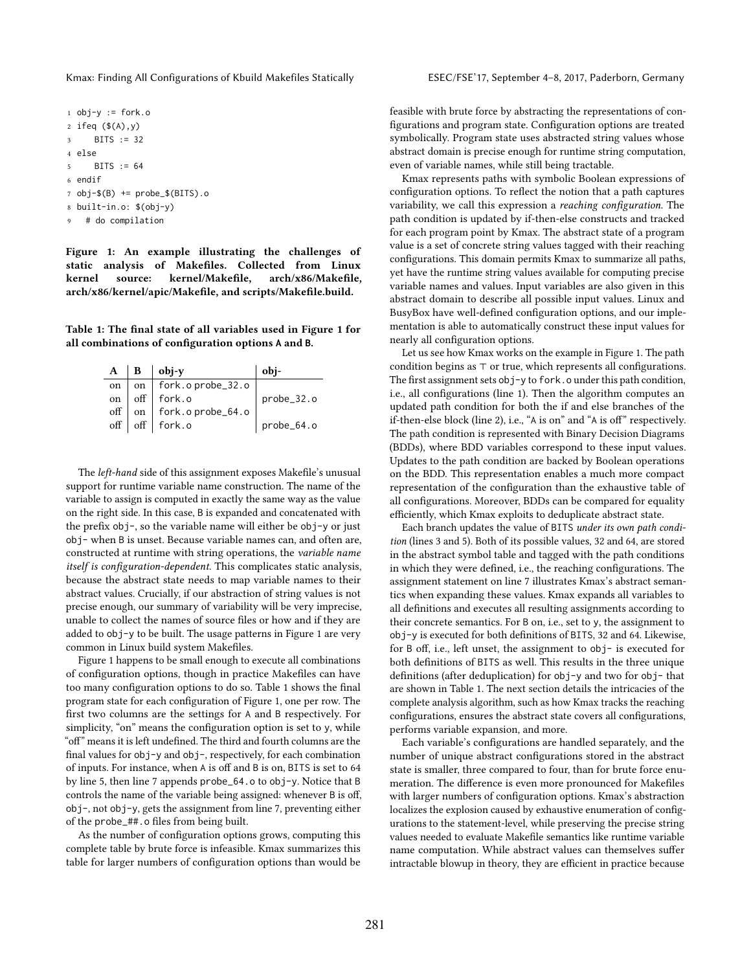Kmax: Finding All Configurations of Kbuild Makefiles Statically ESEC/FSE'17, September 4-8, 2017, Paderborn, Germany

```
1 obj-y := fork.o
2 ifeq ($(A),y)
3 BITS := 32
4 else
5 BITS = 646 endif
7 obj-$(B) += probe_$(BITS).o
8 built-in.o: $(obj-y)
   # do compilation
```
Figure 1: An example illustrating the challenges of static analysis of Makefiles. Collected from Linux kernel source: kernel/Makefile, arch/x86/Makefile, arch/x86/kernel/apic/Makefile, and scripts/Makefile.build.

<span id="page-2-1"></span>Table 1: The final state of all variables used in Figure [1](#page-2-0) for all combinations of configuration options **A** and **B**.

|  | $A \mid B \mid obj-y$                      | obj-       |
|--|--------------------------------------------|------------|
|  | on $ $ on $ $ fork. o probe_32. o          |            |
|  | on $\vert$ off $\vert$ fork.o              | probe_32.o |
|  | off $\Big $ on $\Big $ fork. o probe_64. o |            |
|  | off $\int$ off $\int$ fork.o               | probe_64.o |

The left-hand side of this assignment exposes Makefile's unusual support for runtime variable name construction. The name of the variable to assign is computed in exactly the same way as the value on the right side. In this case, B is expanded and concatenated with the prefix obj-, so the variable name will either be obj-y or just obj- when B is unset. Because variable names can, and often are, constructed at runtime with string operations, the variable name itself is configuration-dependent. This complicates static analysis, because the abstract state needs to map variable names to their abstract values. Crucially, if our abstraction of string values is not precise enough, our summary of variability will be very imprecise, unable to collect the names of source files or how and if they are added to obj-y to be built. The usage patterns in Figure [1](#page-2-0) are very common in Linux build system Makefiles.

Figure [1](#page-2-0) happens to be small enough to execute all combinations of configuration options, though in practice Makefiles can have too many configuration options to do so. Table [1](#page-2-1) shows the final program state for each configuration of Figure [1,](#page-2-0) one per row. The first two columns are the settings for A and B respectively. For simplicity, "on" means the configuration option is set to y, while "off" means it is left undefined. The third and fourth columns are the final values for obj-y and obj-, respectively, for each combination of inputs. For instance, when A is off and B is on, BITS is set to 64 by line 5, then line 7 appends probe\_64.o to obj-y. Notice that B controls the name of the variable being assigned: whenever B is off, obj-, not obj-y, gets the assignment from line 7, preventing either of the probe\_##.o files from being built.

As the number of configuration options grows, computing this complete table by brute force is infeasible. Kmax summarizes this table for larger numbers of configuration options than would be feasible with brute force by abstracting the representations of configurations and program state. Configuration options are treated symbolically. Program state uses abstracted string values whose abstract domain is precise enough for runtime string computation, even of variable names, while still being tractable.

Kmax represents paths with symbolic Boolean expressions of configuration options. To reflect the notion that a path captures variability, we call this expression a reaching configuration. The path condition is updated by if-then-else constructs and tracked for each program point by Kmax. The abstract state of a program value is a set of concrete string values tagged with their reaching configurations. This domain permits Kmax to summarize all paths, yet have the runtime string values available for computing precise variable names and values. Input variables are also given in this abstract domain to describe all possible input values. Linux and BusyBox have well-defined configuration options, and our implementation is able to automatically construct these input values for nearly all configuration options.

Let us see how Kmax works on the example in Figure [1.](#page-2-0) The path condition begins as ⊤ or true, which represents all configurations. The first assignment sets obj-y to fork. o under this path condition, i.e., all configurations (line 1). Then the algorithm computes an updated path condition for both the if and else branches of the if-then-else block (line 2), i.e., "A is on" and "A is off" respectively. The path condition is represented with Binary Decision Diagrams (BDDs), where BDD variables correspond to these input values. Updates to the path condition are backed by Boolean operations on the BDD. This representation enables a much more compact representation of the configuration than the exhaustive table of all configurations. Moreover, BDDs can be compared for equality efficiently, which Kmax exploits to deduplicate abstract state.

Each branch updates the value of BITS under its own path condition (lines 3 and 5). Both of its possible values, 32 and 64, are stored in the abstract symbol table and tagged with the path conditions in which they were defined, i.e., the reaching configurations. The assignment statement on line 7 illustrates Kmax's abstract semantics when expanding these values. Kmax expands all variables to all definitions and executes all resulting assignments according to their concrete semantics. For B on, i.e., set to y, the assignment to obj-y is executed for both definitions of BITS, 32 and 64. Likewise, for B off, i.e., left unset, the assignment to obj- is executed for both definitions of BITS as well. This results in the three unique definitions (after deduplication) for obj-y and two for obj- that are shown in Table [1.](#page-2-1) The next section details the intricacies of the complete analysis algorithm, such as how Kmax tracks the reaching configurations, ensures the abstract state covers all configurations, performs variable expansion, and more.

Each variable's configurations are handled separately, and the number of unique abstract configurations stored in the abstract state is smaller, three compared to four, than for brute force enumeration. The difference is even more pronounced for Makefiles with larger numbers of configuration options. Kmax's abstraction localizes the explosion caused by exhaustive enumeration of configurations to the statement-level, while preserving the precise string values needed to evaluate Makefile semantics like runtime variable name computation. While abstract values can themselves suffer intractable blowup in theory, they are efficient in practice because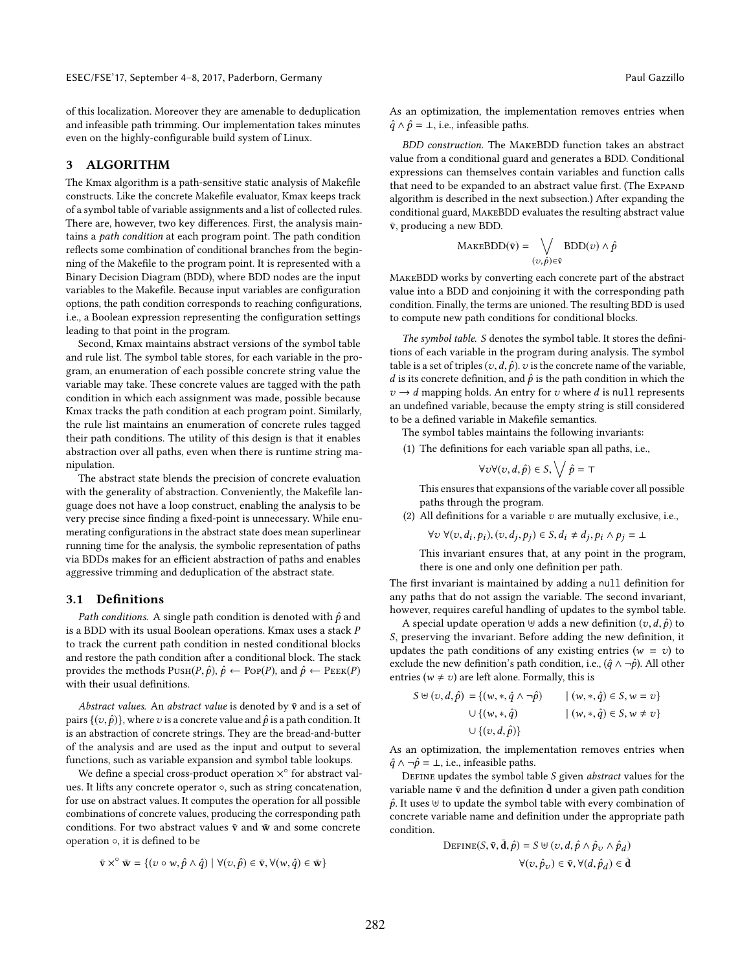of this localization. Moreover they are amenable to deduplication and infeasible path trimming. Our implementation takes minutes even on the highly-configurable build system of Linux.

# <span id="page-3-0"></span>3 ALGORITHM

The Kmax algorithm is a path-sensitive static analysis of Makefile constructs. Like the concrete Makefile evaluator, Kmax keeps track of a symbol table of variable assignments and a list of collected rules. There are, however, two key differences. First, the analysis maintains a path condition at each program point. The path condition reflects some combination of conditional branches from the beginning of the Makefile to the program point. It is represented with a Binary Decision Diagram (BDD), where BDD nodes are the input variables to the Makefile. Because input variables are configuration options, the path condition corresponds to reaching configurations, i.e., a Boolean expression representing the configuration settings leading to that point in the program.

Second, Kmax maintains abstract versions of the symbol table and rule list. The symbol table stores, for each variable in the program, an enumeration of each possible concrete string value the variable may take. These concrete values are tagged with the path condition in which each assignment was made, possible because Kmax tracks the path condition at each program point. Similarly, the rule list maintains an enumeration of concrete rules tagged their path conditions. The utility of this design is that it enables abstraction over all paths, even when there is runtime string manipulation.

The abstract state blends the precision of concrete evaluation with the generality of abstraction. Conveniently, the Makefile language does not have a loop construct, enabling the analysis to be very precise since finding a fixed-point is unnecessary. While enumerating configurations in the abstract state does mean superlinear running time for the analysis, the symbolic representation of paths via BDDs makes for an efficient abstraction of paths and enables aggressive trimming and deduplication of the abstract state.

# 3.1 Definitions

Path conditions. A single path condition is denoted with  $\hat{p}$  and is a BDD with its usual Boolean operations. Kmax uses a stack P to track the current path condition in nested conditional blocks and restore the path condition after a conditional block. The stack provides the methods  $PUSH(P, \hat{p}), \hat{p} \leftarrow Pop(P),$  and  $\hat{p} \leftarrow PEEK(P)$ with their usual definitions.

Abstract values. An abstract value is denoted by  $\bar{v}$  and is a set of pairs  $\{(v,\hat{p})\}$ , where v is a concrete value and  $\hat{p}$  is a path condition. It is an abstraction of concrete strings. They are the bread-and-butter of the analysis and are used as the input and output to several functions, such as variable expansion and symbol table lookups.

We define a special cross-product operation  $\times$ <sup>o</sup> for abstract values. It lifts any concrete operator ◦, such as string concatenation, for use on abstract values. It computes the operation for all possible combinations of concrete values, producing the corresponding path conditions. For two abstract values  $\bar{v}$  and  $\bar{w}$  and some concrete operation ◦, it is defined to be

$$
\bar{\mathbf{v}} \times^{\circ} \bar{\mathbf{w}} = \{ (v \circ w, \hat{p} \land \hat{q}) \mid \forall (v, \hat{p}) \in \bar{\mathbf{v}}, \forall (w, \hat{q}) \in \bar{\mathbf{w}} \}
$$

As an optimization, the implementation removes entries when  $\hat{q} \wedge \hat{p} = \perp$ , i.e., infeasible paths.

BDD construction. The MakeBDD function takes an abstract value from a conditional guard and generates a BDD. Conditional expressions can themselves contain variables and function calls that need to be expanded to an abstract value first. (The ExpAND algorithm is described in the next subsection.) After expanding the conditional guard, MakeBDD evaluates the resulting abstract value  $\bar{v}$ , producing a new BDD.

$$
\text{MAKEBDD}(\bar{\mathbf{v}}) = \bigvee_{(v,\hat{p}) \in \bar{\mathbf{v}}} \text{BDD}(v) \land \hat{p}
$$

MakeBDD works by converting each concrete part of the abstract value into a BDD and conjoining it with the corresponding path condition. Finally, the terms are unioned. The resulting BDD is used to compute new path conditions for conditional blocks.

The symbol table. S denotes the symbol table. It stores the definitions of each variable in the program during analysis. The symbol table is a set of triples  $(v, d, \hat{p})$ . v is the concrete name of the variable, d is its concrete definition, and  $\hat{p}$  is the path condition in which the  $v \rightarrow d$  mapping holds. An entry for v where d is null represents an undefined variable, because the empty string is still considered to be a defined variable in Makefile semantics.

The symbol tables maintains the following invariants:

(1) The definitions for each variable span all paths, i.e.,

$$
\forall v \forall (v, d, \hat{p}) \in S, \bigvee \hat{p} = \top
$$

This ensures that expansions of the variable cover all possible paths through the program.

(2) All definitions for a variable  $v$  are mutually exclusive, i.e.,

 $\forall v \; \forall (v, d_i, p_i), (v, d_j, p_j) \in S, d_i \neq d_j, p_i \wedge p_j = \bot$ 

This invariant ensures that, at any point in the program, there is one and only one definition per path.

The first invariant is maintained by adding a null definition for any paths that do not assign the variable. The second invariant, however, requires careful handling of updates to the symbol table.

A special update operation  $\forall$  adds a new definition  $(v, d, \hat{p})$  to S, preserving the invariant. Before adding the new definition, it updates the path conditions of any existing entries  $(w = v)$  to exclude the new definition's path condition, i.e.,  $(\hat{q} \wedge \neg \hat{p})$ . All other entries ( $w \neq v$ ) are left alone. Formally, this is

$$
S \uplus (v, d, \hat{p}) = \{ (w, *, \hat{q} \land \neg \hat{p}) \mid (w, *, \hat{q}) \in S, w = v \}
$$
  

$$
\cup \{ (w, *, \hat{q}) \mid (w, *, \hat{q}) \in S, w \neq v \}
$$
  

$$
\cup \{ (v, d, \hat{p}) \}
$$

As an optimization, the implementation removes entries when  $\hat{q} \wedge \neg \hat{p} = \bot$ , i.e., infeasible paths.

DEFINE updates the symbol table  $S$  given abstract values for the variable name  $\bar{v}$  and the definition  $\bar{d}$  under a given path condition  $\hat{p}$ . It uses  $\forall$  to update the symbol table with every combination of concrete variable name and definition under the appropriate path condition.

DEFINE
$$
(S, \bar{\mathbf{v}}, \bar{\mathbf{d}}, \hat{p}) = S \uplus (v, d, \hat{p} \wedge \hat{p}_v \wedge \hat{p}_d)
$$
  
 $\forall (v, \hat{p}_v) \in \bar{\mathbf{v}}, \forall (d, \hat{p}_d) \in \bar{\mathbf{d}}$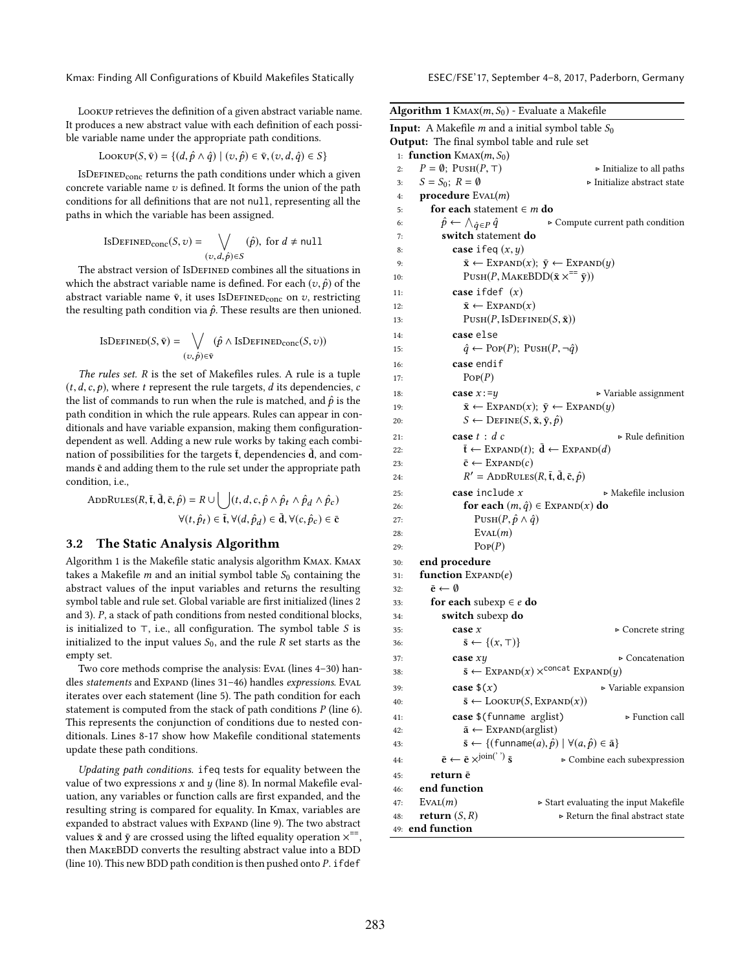Kmax: Finding All Configurations of Kbuild Makefiles Statically ESEC/FSE'17, September 4-8, 2017, Paderborn, Germany

Lookup retrieves the definition of a given abstract variable name. It produces a new abstract value with each definition of each possible variable name under the appropriate path conditions.

$$
LOOKUP(S, \bar{\mathbf{v}}) = \{ (d, \hat{p} \wedge \hat{q}) \mid (v, \hat{p}) \in \bar{\mathbf{v}}, (v, d, \hat{q}) \in S \}
$$

LOOKUP(S,  $\bar{\mathbf{v}}$ ) = {(d,  $\hat{p} \wedge \hat{q}$ ) | (v,  $\hat{p}$ )  $\in \bar{\mathbf{v}}$ , (v, d,  $\hat{q}$ )  $\in S$ }<br>IsDEFINED<sub>CONC</sub> returns the path conditions under which a given concrete variable name  $v$  is defined. It forms the union of the path conditions for all definitions that are not null, representing all the paths in which the variable has been assigned.

ISDEFINED<sub>conc</sub>
$$
(S, v) = \bigvee_{(v, d, \hat{p}) \in S} (\hat{p})
$$
, for  $d \neq \text{null}$   
The abstract version of ISDEFINED combines all the situations in

which the abstract variable name is defined. For each  $(v, \hat{p})$  of the abstract variable name  $\bar{v}$ , it uses IsDEFINED<sub>conc</sub> on  $v$ , restricting the resulting path condition via  $\hat{p}$ . These results are then unioned.

$$
IsDEFINED(S, \bar{\mathbf{v}}) = \bigvee_{(v, \hat{p}) \in \bar{\mathbf{v}}} (\hat{p} \wedge IsDEFINED_{conc}(S, v))
$$

The rules set. R is the set of Makefiles rules. A rule is a tuple  $(t, d, c, p)$ , where t represent the rule targets, d its dependencies, c the list of commands to run when the rule is matched, and  $\hat{p}$  is the path condition in which the rule appears. Rules can appear in conditionals and have variable expansion, making them configurationdependent as well. Adding a new rule works by taking each combination of possibilities for the targets  $\bar{t}$ , dependencies  $\bar{d}$ , and commands  $\bar{c}$  and adding them to the rule set under the appropriate path condition, i.e.,

$$
ADDRULES(R, \bar{\mathbf{t}}, \bar{\mathbf{d}}, \bar{\mathbf{c}}, \hat{p}) = R \cup \bigcup (t, d, c, \hat{p} \wedge \hat{p}_t \wedge \hat{p}_d \wedge \hat{p}_c)
$$

$$
\forall (t, \hat{p}_t) \in \bar{\mathbf{t}}, \forall (d, \hat{p}_d) \in \bar{\mathbf{d}}, \forall (c, \hat{p}_c) \in \bar{\mathbf{c}}
$$

# 3.2 The Static Analysis Algorithm

Algorithm [1](#page-4-0) is the Makefile static analysis algorithm Kmax. Kmax takes a Makefile m and an initial symbol table  $S_0$  containing the abstract values of the input variables and returns the resulting symbol table and rule set. Global variable are first initialized (lines 2 and 3). P, a stack of path conditions from nested conditional blocks, is initialized to <sup>⊤</sup>, i.e., all configuration. The symbol table S is initialized to the input values  $S_0$ , and the rule R set starts as the empty set.

Two core methods comprise the analysis: Eval (lines 4-30) handles statements and Expand (lines 31-46) handles expressions. EVAL iterates over each statement (line 5). The path condition for each statement is computed from the stack of path conditions P (line 6). This represents the conjunction of conditions due to nested conditionals. Lines 8-17 show how Makefile conditional statements update these path conditions.

Updating path conditions. ifeq tests for equality between the value of two expressions  $x$  and  $y$  (line 8). In normal Makefile evaluation, any variables or function calls are first expanded, and the resulting string is compared for equality. In Kmax, variables are expanded to abstract values with Expand (line 9). The two abstract values  $\bar{x}$  and  $\bar{y}$  are crossed using the lifted equality operation  $\times^{\equiv}$ , then MakeBDD converts the resulting abstract value into a BDD (line 10). This new BDD path condition is then pushed onto  $P$ . if def

<span id="page-4-0"></span>

|            | Algorithm 1 $K$ MAX $(m, S_0)$ - Evaluate a Makefile                             |                                                                                                                |  |  |  |
|------------|----------------------------------------------------------------------------------|----------------------------------------------------------------------------------------------------------------|--|--|--|
|            | <b>Input:</b> A Makefile <i>m</i> and a initial symbol table $S_0$               |                                                                                                                |  |  |  |
|            | Output: The final symbol table and rule set                                      |                                                                                                                |  |  |  |
|            | 1: <b>function</b> $K$ MAX $(m, S_0)$                                            |                                                                                                                |  |  |  |
| 2:         | $P = \emptyset$ ; PUSH(P, T)                                                     | $\triangleright$ Initialize to all paths                                                                       |  |  |  |
| 3:         | $S = S_0$ ; $R = \emptyset$                                                      | $\triangleright$ Initialize abstract state                                                                     |  |  |  |
| 4:         | <b>procedure</b> $EVAL(m)$                                                       |                                                                                                                |  |  |  |
| 5:         | for each statement $\in$ <i>m</i> do                                             |                                                                                                                |  |  |  |
| 6:         | $\hat{p} \leftarrow \wedge_{\hat{q} \in P} \hat{q}$                              | $\triangleright$ Compute current path condition                                                                |  |  |  |
| 7:         | switch statement do                                                              |                                                                                                                |  |  |  |
| 8:         | case if eq $(x, y)$                                                              |                                                                                                                |  |  |  |
| 9:         |                                                                                  | $\bar{\mathbf{x}} \leftarrow \text{EXPAND}(x); \ \bar{\mathbf{y}} \leftarrow \text{EXPAND}(y)$                 |  |  |  |
| 10:        |                                                                                  | PUSH $(P, \text{MAKEBDD}(\bar{\mathbf{x}} \times^{-1} \bar{\mathbf{y}}))$                                      |  |  |  |
| 11:        | case ifdef $(x)$                                                                 |                                                                                                                |  |  |  |
| 12:        | $\bar{\mathbf{x}} \leftarrow \text{EXPAND}(x)$                                   |                                                                                                                |  |  |  |
| 13:        | $PUSH(P, IsDEFINED(S, \bar{x}))$                                                 |                                                                                                                |  |  |  |
| 14:        | <b>case</b> else                                                                 |                                                                                                                |  |  |  |
| 15:        | $\hat{q} \leftarrow Pop(P); Push(P, \neg \hat{q})$                               |                                                                                                                |  |  |  |
|            | case endif                                                                       |                                                                                                                |  |  |  |
| 16:        | Pop(P)                                                                           |                                                                                                                |  |  |  |
| 17:        |                                                                                  |                                                                                                                |  |  |  |
| 18:        | case $x: =y$                                                                     | $\triangleright$ Variable assignment                                                                           |  |  |  |
| 19:        |                                                                                  | $\bar{\mathbf{x}} \leftarrow \text{EXPAND}(x); \ \bar{\mathbf{y}} \leftarrow \text{EXPAND}(y)$                 |  |  |  |
| 20:        | $S \leftarrow$ DEFINE $(S, \bar{\mathbf{x}}, \bar{\mathbf{y}}, \hat{p})$         |                                                                                                                |  |  |  |
| 21:        | case $t : d c$                                                                   | $\triangleright$ Rule definition                                                                               |  |  |  |
| 22:        |                                                                                  | $\overline{\mathbf{t}} \leftarrow \text{EXPAND}(t); \ \overline{\mathbf{d}} \leftarrow \text{EXPAND}(d)$       |  |  |  |
| 23:        | $\bar{c} \leftarrow \text{EXPAND}(c)$                                            |                                                                                                                |  |  |  |
| 24:        |                                                                                  | $R' =$ ADDRULES $(R, \bar{t}, \bar{d}, \bar{c}, \hat{p})$                                                      |  |  |  |
| 25:        | case include $x$                                                                 | $\triangleright$ Makefile inclusion                                                                            |  |  |  |
| 26:        |                                                                                  | for each $(m, \hat{q}) \in$ EXPAND $(x)$ do                                                                    |  |  |  |
| 27:        | $PUSH(P, \hat{p} \wedge \hat{q})$                                                |                                                                                                                |  |  |  |
| 28:        | EvAL(m)                                                                          |                                                                                                                |  |  |  |
| 29:        | Pop(P)                                                                           |                                                                                                                |  |  |  |
| 30:        | end procedure                                                                    |                                                                                                                |  |  |  |
| 31:        | function $\text{EXPAND}(e)$                                                      |                                                                                                                |  |  |  |
| 32:        | $\bar{\mathrm{e}} \gets \emptyset$                                               |                                                                                                                |  |  |  |
| 33:        | for each subexp $\in$ e do                                                       |                                                                                                                |  |  |  |
| 34:        | switch subexp do                                                                 |                                                                                                                |  |  |  |
| 35:        | case $x$                                                                         | $\triangleright$ Concrete string                                                                               |  |  |  |
| 36:        | $\bar{\mathbf{s}} \leftarrow \{ (x, \top) \}$                                    |                                                                                                                |  |  |  |
| 37:        | case $xy$                                                                        | ⊳ Concatenation                                                                                                |  |  |  |
| 38:        |                                                                                  | $\bar{\mathbf{s}} \leftarrow \text{EXPAND}(x) \times^{\text{concat}} \text{EXPAND}(y)$                         |  |  |  |
| 39:        | case $\$(x)$                                                                     | $\triangleright$ Variable expansion                                                                            |  |  |  |
| 40:        |                                                                                  | $\bar{\mathbf{s}} \leftarrow \text{LookUP}(S, \text{EXPAND}(x))$                                               |  |  |  |
| 41:        | case \$(funname arglist)                                                         | ⊳ Function call                                                                                                |  |  |  |
| 42:        | $\bar{a} \leftarrow$ Expand(arglist)                                             |                                                                                                                |  |  |  |
| 43:        |                                                                                  | $\bar{\mathbf{s}} \leftarrow \{(\text{funname}(a), \hat{p}) \mid \forall (a, \hat{p}) \in \bar{\mathbf{a}}\}\$ |  |  |  |
| 44:        | $\bar{\mathbf{e}} \leftarrow \bar{\mathbf{e}} \times^{join('')}\bar{\mathbf{s}}$ | $\triangleright$ Combine each subexpression                                                                    |  |  |  |
|            |                                                                                  |                                                                                                                |  |  |  |
| 45:        | return ē<br>end function                                                         |                                                                                                                |  |  |  |
| 46:        | EVAL(m)                                                                          | $\triangleright$ Start evaluating the input Makefile                                                           |  |  |  |
| 47:<br>48: |                                                                                  | ► Return the final abstract state                                                                              |  |  |  |
|            | <b>return</b> $(S, R)$<br>49: <b>end function</b>                                |                                                                                                                |  |  |  |
|            |                                                                                  |                                                                                                                |  |  |  |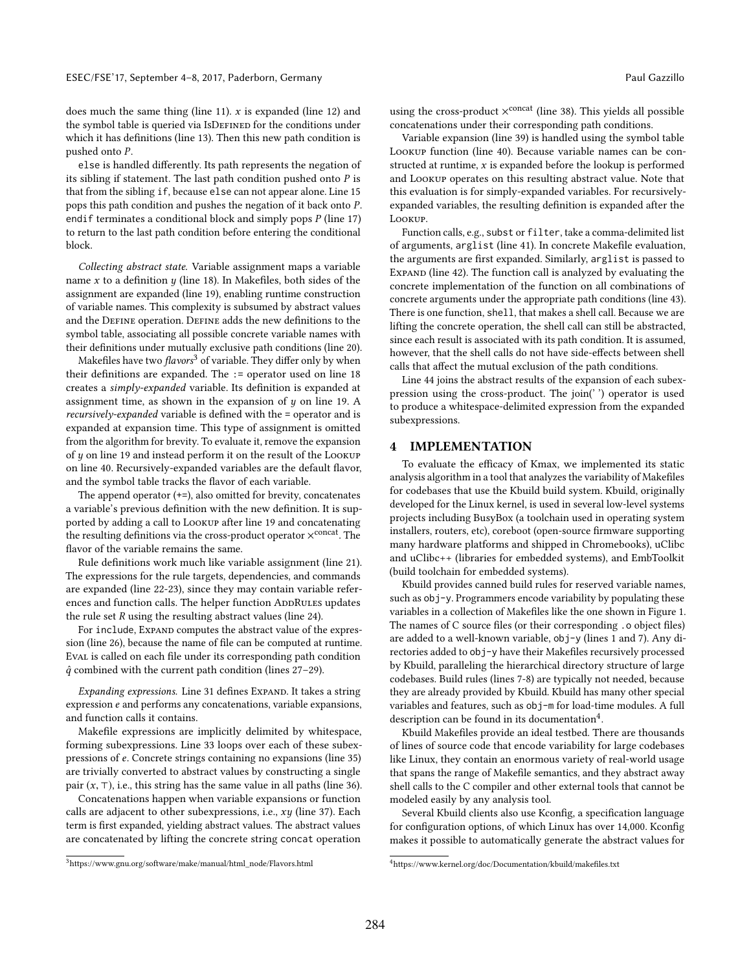does much the same thing (line 11).  $x$  is expanded (line 12) and the symbol table is queried via IsDEFINED for the conditions under which it has definitions (line 13). Then this new path condition is pushed onto P.

else is handled differently. Its path represents the negation of its sibling if statement. The last path condition pushed onto  $P$  is that from the sibling if, because else can not appear alone. Line 15 pops this path condition and pushes the negation of it back onto P. endif terminates a conditional block and simply pops P (line 17) to return to the last path condition before entering the conditional block.

Collecting abstract state. Variable assignment maps a variable name x to a definition  $y$  (line 18). In Makefiles, both sides of the assignment are expanded (line 19), enabling runtime construction of variable names. This complexity is subsumed by abstract values and the DEFINE operation. DEFINE adds the new definitions to the symbol table, associating all possible concrete variable names with their definitions under mutually exclusive path conditions (line 20).

Makefiles have two  $flavors<sup>3</sup>$  $flavors<sup>3</sup>$  $flavors<sup>3</sup>$  of variable. They differ only by when their definitions are expanded. The := operator used on line 18 creates a simply-expanded variable. Its definition is expanded at assignment time, as shown in the expansion of  $y$  on line 19. A recursively-expanded variable is defined with the = operator and is expanded at expansion time. This type of assignment is omitted from the algorithm for brevity. To evaluate it, remove the expansion of  $y$  on line 19 and instead perform it on the result of the LOOKUP on line 40. Recursively-expanded variables are the default flavor, and the symbol table tracks the flavor of each variable.

The append operator  $(+=)$ , also omitted for brevity, concatenates a variable's previous definition with the new definition. It is supported by adding a call to Lookup after line 19 and concatenating the resulting definitions via the cross-product operator  $\times^{\text{concat}}$ . The flavor of the variable remains the same.

Rule definitions work much like variable assignment (line 21). The expressions for the rule targets, dependencies, and commands are expanded (line 22-23), since they may contain variable references and function calls. The helper function ADDRULES updates the rule set  $R$  using the resulting abstract values (line 24).

For include, Expand computes the abstract value of the expression (line 26), because the name of file can be computed at runtime. Eval is called on each file under its corresponding path condition  $\hat{q}$  combined with the current path condition (lines 27–29).

Expanding expressions. Line 31 defines Expand. It takes a string expression e and performs any concatenations, variable expansions, and function calls it contains.

Makefile expressions are implicitly delimited by whitespace, forming subexpressions. Line 33 loops over each of these subexpressions of e. Concrete strings containing no expansions (line 35) are trivially converted to abstract values by constructing a single pair  $(x, \top)$ , i.e., this string has the same value in all paths (line 36).

Concatenations happen when variable expansions or function calls are adjacent to other subexpressions, i.e.,  $xy$  (line 37). Each term is first expanded, yielding abstract values. The abstract values are concatenated by lifting the concrete string concat operation

using the cross-product  $\times^{\text{concat}}$  (line 38). This yields all possible concatenations under their corresponding path conditions.

Variable expansion (line 39) is handled using the symbol table Lookup function (line 40). Because variable names can be constructed at runtime,  $x$  is expanded before the lookup is performed and Lookup operates on this resulting abstract value. Note that this evaluation is for simply-expanded variables. For recursivelyexpanded variables, the resulting definition is expanded after the Lookup.

Function calls, e.g., subst or filter, take a comma-delimited list of arguments, arglist (line 41). In concrete Makefile evaluation, the arguments are first expanded. Similarly, arglist is passed to EXPAND (line 42). The function call is analyzed by evaluating the concrete implementation of the function on all combinations of concrete arguments under the appropriate path conditions (line 43). There is one function, shell, that makes a shell call. Because we are lifting the concrete operation, the shell call can still be abstracted, since each result is associated with its path condition. It is assumed, however, that the shell calls do not have side-effects between shell calls that affect the mutual exclusion of the path conditions.

Line 44 joins the abstract results of the expansion of each subexpression using the cross-product. The join(' ') operator is used to produce a whitespace-delimited expression from the expanded subexpressions.

#### <span id="page-5-0"></span>4 IMPLEMENTATION

To evaluate the efficacy of Kmax, we implemented its static analysis algorithm in a tool that analyzes the variability of Makefiles for codebases that use the Kbuild build system. Kbuild, originally developed for the Linux kernel, is used in several low-level systems projects including BusyBox (a toolchain used in operating system installers, routers, etc), coreboot (open-source firmware supporting many hardware platforms and shipped in Chromebooks), uClibc and uClibc++ (libraries for embedded systems), and EmbToolkit (build toolchain for embedded systems).

Kbuild provides canned build rules for reserved variable names, such as obj-y. Programmers encode variability by populating these variables in a collection of Makefiles like the one shown in Figure [1.](#page-2-0) The names of C source files (or their corresponding .o object files) are added to a well-known variable, obj-y (lines 1 and 7). Any directories added to obj-y have their Makefiles recursively processed by Kbuild, paralleling the hierarchical directory structure of large codebases. Build rules (lines 7-8) are typically not needed, because they are already provided by Kbuild. Kbuild has many other special variables and features, such as obj-m for load-time modules. A full  $\frac{1}{2}$  description can be found in its documentation<sup>[4](#page-5-2)</sup>.

Kbuild Makefiles provide an ideal testbed. There are thousands of lines of source code that encode variability for large codebases like Linux, they contain an enormous variety of real-world usage that spans the range of Makefile semantics, and they abstract away shell calls to the C compiler and other external tools that cannot be modeled easily by any analysis tool.

Several Kbuild clients also use Kconfig, a specification language for configuration options, of which Linux has over 14,000. Kconfig makes it possible to automatically generate the abstract values for

<span id="page-5-1"></span> ${}^{3}$ [https://www.gnu.org/software/make/manual/html\\_node/Flavors.html](https://www.gnu.org/software/make/manual/html_node/Flavors.html)

<span id="page-5-2"></span> $^4$ <https://www.kernel.org/doc/Documentation/kbuild/makefiles.txt>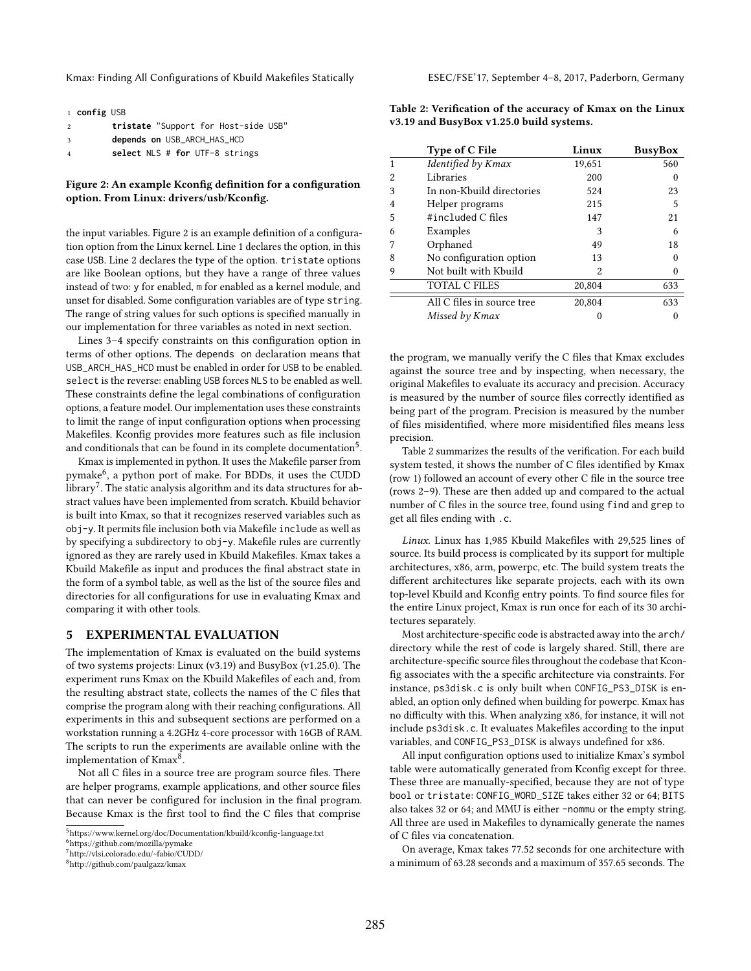Kmax: Finding All Configurations of Kbuild Makefiles Statically ESEC/FSE'17, September 4–8, 2017, Paderborn, Germany

<span id="page-6-1"></span>

| config USB |  |
|------------|--|
|            |  |

|  |  |  | tristate "Support for Host-side USB" |  |
|--|--|--|--------------------------------------|--|
|--|--|--|--------------------------------------|--|

|  | depends on USB_ARCH_HAS_HCD |
|--|-----------------------------|
|  |                             |

4 **select** NLS # **for** UTF-8 strings

#### Figure 2: An example Kconfig definition for a configuration option. From Linux: drivers/usb/Kconfig.

the input variables. Figure [2](#page-6-1) is an example definition of a configuration option from the Linux kernel. Line 1 declares the option, in this case USB. Line 2 declares the type of the option. tristate options are like Boolean options, but they have a range of three values instead of two: y for enabled, m for enabled as a kernel module, and unset for disabled. Some configuration variables are of type string. The range of string values for such options is specified manually in our implementation for three variables as noted in next section.

Lines 3–4 specify constraints on this configuration option in terms of other options. The depends on declaration means that USB\_ARCH\_HAS\_HCD must be enabled in order for USB to be enabled. select is the reverse: enabling USB forces NLS to be enabled as well. These constraints define the legal combinations of configuration options, a feature model. Our implementation uses these constraints to limit the range of input configuration options when processing Makefiles. Kconfig provides more features such as file inclusion and conditionals that can be found in its complete documentation<sup>[5](#page-6-2)</sup>.

Kmax is implemented in python. It uses the Makefile parser from  $p_{\text{w}}$  pymake<sup>[6](#page-6-3)</sup>, a python port of make. For BDDs, it uses the CUDD library[7](#page-6-4) . The static analysis algorithm and its data structures for abstract values have been implemented from scratch. Kbuild behavior is built into Kmax, so that it recognizes reserved variables such as obj-y. It permits file inclusion both via Makefile include as well as by specifying a subdirectory to obj-y. Makefile rules are currently ignored as they are rarely used in Kbuild Makefiles. Kmax takes a Kbuild Makefile as input and produces the final abstract state in the form of a symbol table, as well as the list of the source files and directories for all configurations for use in evaluating Kmax and comparing it with other tools.

# <span id="page-6-0"></span>5 EXPERIMENTAL EVALUATION

The implementation of Kmax is evaluated on the build systems of two systems projects: Linux (v3.19) and BusyBox (v1.25.0). The experiment runs Kmax on the Kbuild Makefiles of each and, from the resulting abstract state, collects the names of the C files that comprise the program along with their reaching configurations. All experiments in this and subsequent sections are performed on a workstation running a 4.2GHz 4-core processor with 16GB of RAM. The scripts to run the experiments are available online with the implementation of Kmax $^{\hat{\text{8}}}.$  $^{\hat{\text{8}}}.$  $^{\hat{\text{8}}}.$ 

Not all C files in a source tree are program source files. There are helper programs, example applications, and other source files that can never be configured for inclusion in the final program. Because Kmax is the first tool to find the C files that comprise

<span id="page-6-3"></span><sup>6</sup><https://github.com/mozilla/pymake>

<span id="page-6-5"></span><sup>8</sup><http://github.com/paulgazz/kmax>

<span id="page-6-6"></span>

|  | Table 2: Verification of the accuracy of Kmax on the Linux |  |  |  |
|--|------------------------------------------------------------|--|--|--|
|  | v3.19 and BusyBox v1.25.0 build systems.                   |  |  |  |

|                | Type of C File             | Linux  | <b>BusyBox</b> |
|----------------|----------------------------|--------|----------------|
| 1              | Identified by Kmax         | 19,651 | 560            |
| $\overline{2}$ | Libraries                  | 200    | 0              |
| 3              | In non-Kbuild directories  | 524    | 23             |
| 4              | Helper programs            | 215    | 5              |
| 5              | #included C files          | 147    | 21             |
| 6              | Examples                   | 3      | 6              |
| 7              | Orphaned                   | 49     | 18             |
| 8              | No configuration option    | 13     | 0              |
| 9              | Not built with Kbuild      | 2      | $\Omega$       |
|                | <b>TOTAL C FILES</b>       | 20,804 | 633            |
|                | All C files in source tree | 20,804 | 633            |
|                | Missed by Kmax             |        |                |

the program, we manually verify the C files that Kmax excludes against the source tree and by inspecting, when necessary, the original Makefiles to evaluate its accuracy and precision. Accuracy is measured by the number of source files correctly identified as being part of the program. Precision is measured by the number of files misidentified, where more misidentified files means less precision.

Table [2](#page-6-6) summarizes the results of the verification. For each build system tested, it shows the number of C files identified by Kmax (row 1) followed an account of every other C file in the source tree (rows 2–9). These are then added up and compared to the actual number of C files in the source tree, found using find and grep to get all files ending with .c.

Linux. Linux has 1,985 Kbuild Makefiles with 29,525 lines of source. Its build process is complicated by its support for multiple architectures, x86, arm, powerpc, etc. The build system treats the different architectures like separate projects, each with its own top-level Kbuild and Kconfig entry points. To find source files for the entire Linux project, Kmax is run once for each of its 30 architectures separately.

Most architecture-specific code is abstracted away into the arch/ directory while the rest of code is largely shared. Still, there are architecture-specific source files throughout the codebase that Kconfig associates with the a specific architecture via constraints. For instance, ps3disk.c is only built when CONFIG\_PS3\_DISK is enabled, an option only defined when building for powerpc. Kmax has no difficulty with this. When analyzing x86, for instance, it will not include ps3disk.c. It evaluates Makefiles according to the input variables, and CONFIG\_PS3\_DISK is always undefined for x86.

All input configuration options used to initialize Kmax's symbol table were automatically generated from Kconfig except for three. These three are manually-specified, because they are not of type bool or tristate: CONFIG\_WORD\_SIZE takes either 32 or 64; BITS also takes 32 or 64; and MMU is either -nommu or the empty string. All three are used in Makefiles to dynamically generate the names of C files via concatenation.

On average, Kmax takes 77.52 seconds for one architecture with a minimum of 63.28 seconds and a maximum of 357.65 seconds. The

<span id="page-6-2"></span><sup>5</sup><https://www.kernel.org/doc/Documentation/kbuild/kconfig-language.txt>

<span id="page-6-4"></span><sup>7</sup><http://vlsi.colorado.edu/~fabio/CUDD/>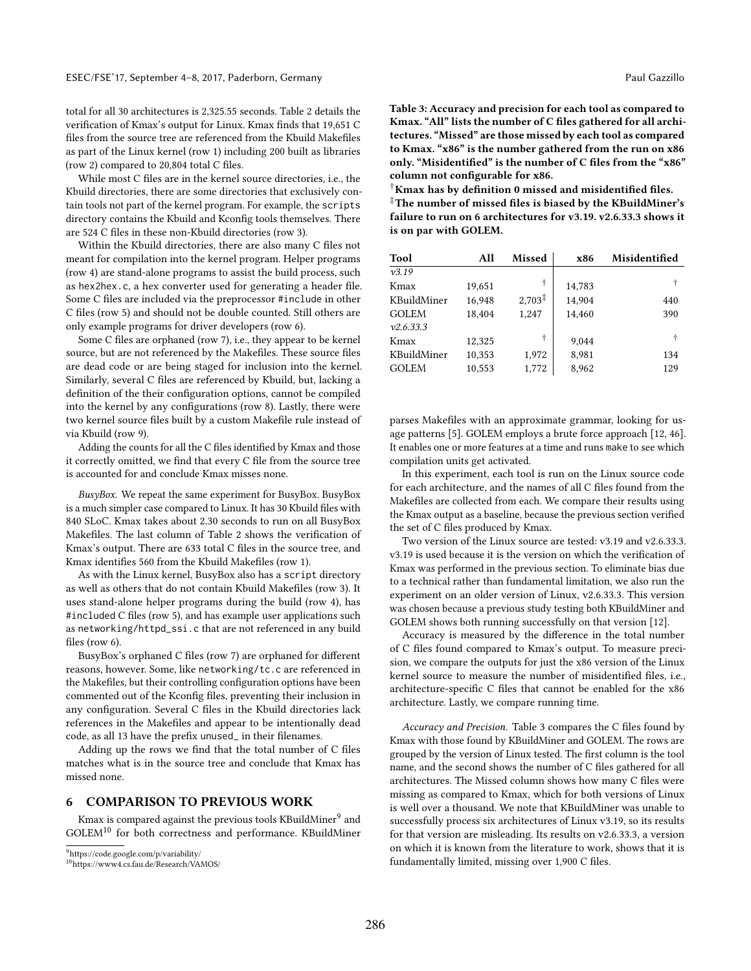total for all 30 architectures is 2,325.55 seconds. Table [2](#page-6-6) details the verification of Kmax's output for Linux. Kmax finds that 19,651 C files from the source tree are referenced from the Kbuild Makefiles as part of the Linux kernel (row 1) including 200 built as libraries (row 2) compared to 20,804 total C files.

While most C files are in the kernel source directories, i.e., the Kbuild directories, there are some directories that exclusively contain tools not part of the kernel program. For example, the scripts directory contains the Kbuild and Kconfig tools themselves. There are 524 C files in these non-Kbuild directories (row 3).

Within the Kbuild directories, there are also many C files not meant for compilation into the kernel program. Helper programs (row 4) are stand-alone programs to assist the build process, such as hex2hex.c, a hex converter used for generating a header file. Some C files are included via the preprocessor #include in other C files (row 5) and should not be double counted. Still others are only example programs for driver developers (row 6).

Some C files are orphaned (row 7), i.e., they appear to be kernel source, but are not referenced by the Makefiles. These source files are dead code or are being staged for inclusion into the kernel. Similarly, several C files are referenced by Kbuild, but, lacking a definition of the their configuration options, cannot be compiled into the kernel by any configurations (row 8). Lastly, there were two kernel source files built by a custom Makefile rule instead of via Kbuild (row 9).

Adding the counts for all the C files identified by Kmax and those it correctly omitted, we find that every C file from the source tree is accounted for and conclude Kmax misses none.

BusyBox. We repeat the same experiment for BusyBox. BusyBox is a much simpler case compared to Linux. It has 30 Kbuild files with 840 SLoC. Kmax takes about 2.30 seconds to run on all BusyBox Makefiles. The last column of Table [2](#page-6-6) shows the verification of Kmax's output. There are 633 total C files in the source tree, and Kmax identifies 560 from the Kbuild Makefiles (row 1).

As with the Linux kernel, BusyBox also has a script directory as well as others that do not contain Kbuild Makefiles (row 3). It uses stand-alone helper programs during the build (row 4), has #included C files (row 5), and has example user applications such as networking/httpd\_ssi.c that are not referenced in any build files (row 6).

BusyBox's orphaned C files (row 7) are orphaned for different reasons, however. Some, like networking/tc.c are referenced in the Makefiles, but their controlling configuration options have been commented out of the Kconfig files, preventing their inclusion in any configuration. Several C files in the Kbuild directories lack references in the Makefiles and appear to be intentionally dead code, as all 13 have the prefix unused\_ in their filenames.

Adding up the rows we find that the total number of C files matches what is in the source tree and conclude that Kmax has missed none.

### <span id="page-7-0"></span>6 COMPARISON TO PREVIOUS WORK

Kmax is compared against the previous tools KBuildMiner $^9$  $^9$  and GOLEM<sup>[10](#page-7-2)</sup> for both correctness and performance. KBuildMiner <span id="page-7-3"></span>Table 3: Accuracy and precision for each tool as compared to Kmax. "All" lists the number of C files gathered for all architectures. "Missed" are those missed by each tool as compared to Kmax. "x86" is the number gathered from the run on x86 only. "Misidentified" is the number of C files from the "x86" column not configurable for x86.

†Kmax has by definition 0 missed and misidentified files. ‡The number of missed files is biased by the KBuildMiner's failure to run on 6 architectures for v3.19. v2.6.33.3 shows it is on par with GOLEM.

| <b>Tool</b>  | All    | <b>Missed</b>      | x86    | Misidentified |
|--------------|--------|--------------------|--------|---------------|
| v3.19        |        |                    |        |               |
| Kmax         | 19,651 | ÷                  | 14,783 | ÷             |
| KBuildMiner  | 16.948 | $2,703^{\ddagger}$ | 14.904 | 440           |
| <b>GOLEM</b> | 18.404 | 1,247              | 14.460 | 390           |
| v2.6.33.3    |        |                    |        |               |
| Kmax         | 12,325 | ÷                  | 9,044  | ÷             |
| KBuildMiner  | 10,353 | 1,972              | 8,981  | 134           |
| <b>GOLEM</b> | 10,553 | 1,772              | 8,962  | 129           |

parses Makefiles with an approximate grammar, looking for usage patterns [\[5\]](#page-10-18). GOLEM employs a brute force approach [\[12,](#page-10-2) [46\]](#page-11-3). It enables one or more features at a time and runs make to see which compilation units get activated.

In this experiment, each tool is run on the Linux source code for each architecture, and the names of all C files found from the Makefiles are collected from each. We compare their results using the Kmax output as a baseline, because the previous section verified the set of C files produced by Kmax.

Two version of the Linux source are tested: v3.19 and v2.6.33.3. v3.19 is used because it is the version on which the verification of Kmax was performed in the previous section. To eliminate bias due to a technical rather than fundamental limitation, we also run the experiment on an older version of Linux, v2.6.33.3. This version was chosen because a previous study testing both KBuildMiner and GOLEM shows both running successfully on that version [\[12\]](#page-10-2).

Accuracy is measured by the difference in the total number of C files found compared to Kmax's output. To measure precision, we compare the outputs for just the x86 version of the Linux kernel source to measure the number of misidentified files, i.e., architecture-specific C files that cannot be enabled for the x86 architecture. Lastly, we compare running time.

Accuracy and Precision. Table [3](#page-7-3) compares the C files found by Kmax with those found by KBuildMiner and GOLEM. The rows are grouped by the version of Linux tested. The first column is the tool name, and the second shows the number of C files gathered for all architectures. The Missed column shows how many C files were missing as compared to Kmax, which for both versions of Linux is well over a thousand. We note that KBuildMiner was unable to successfully process six architectures of Linux v3.19, so its results for that version are misleading. Its results on v2.6.33.3, a version on which it is known from the literature to work, shows that it is fundamentally limited, missing over 1,900 C files.

<span id="page-7-1"></span><sup>9</sup><https://code.google.com/p/variability/>

<span id="page-7-2"></span><sup>10</sup>https://www4.cs.fau.de/Research/VAMOS/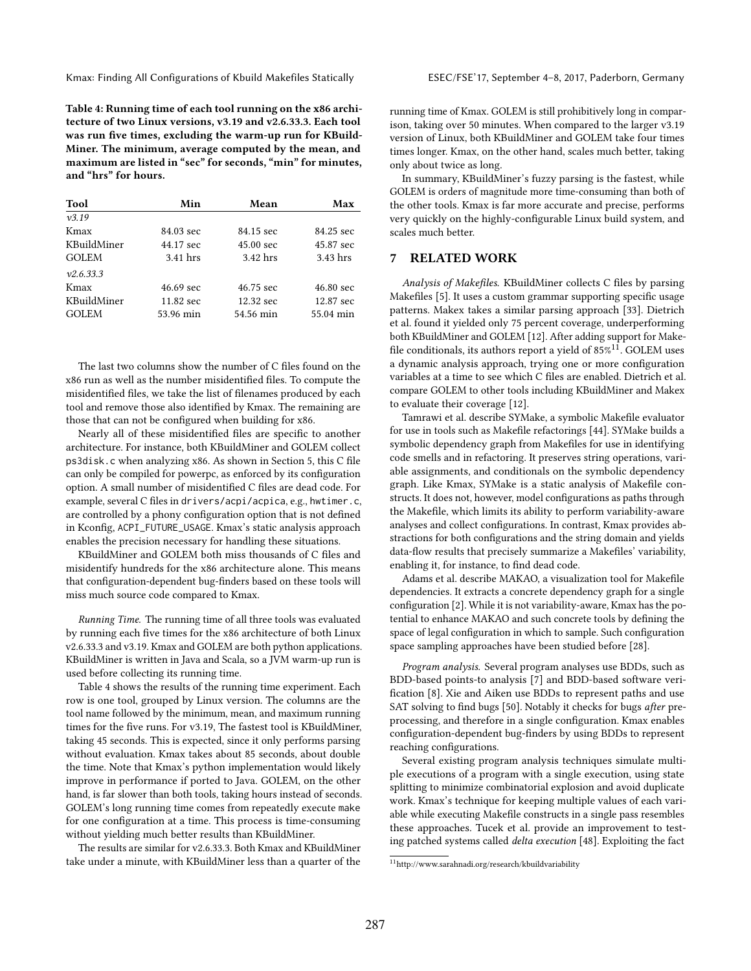<span id="page-8-0"></span>Table 4: Running time of each tool running on the x86 architecture of two Linux versions, v3.19 and v2.6.33.3. Each tool was run five times, excluding the warm-up run for KBuild-Miner. The minimum, average computed by the mean, and maximum are listed in "sec" for seconds, "min" for minutes, and "hrs" for hours.

| Tool         | Min        | Mean                | Max         |
|--------------|------------|---------------------|-------------|
| $\nu$ 3.19   |            |                     |             |
| Kmax         | 84.03 sec  | 84.15 sec           | 84.25 sec   |
| KBuildMiner  | 44.17 sec  | $45.00 \text{ sec}$ | 45.87 sec   |
| <b>GOLEM</b> | $3.41$ hrs | 3.42 hrs            | $3.43$ hrs  |
| v2.6.33.3    |            |                     |             |
| Kmax         | 46.69 sec  | 46.75 sec           | $46.80$ sec |
| KBuildMiner  | 11.82 sec  | 12.32 sec           | 12.87 sec   |
| <b>GOLEM</b> | 53.96 min  | 54.56 min           | 55.04 min   |

The last two columns show the number of C files found on the x86 run as well as the number misidentified files. To compute the misidentified files, we take the list of filenames produced by each tool and remove those also identified by Kmax. The remaining are those that can not be configured when building for x86.

Nearly all of these misidentified files are specific to another architecture. For instance, both KBuildMiner and GOLEM collect ps3disk.c when analyzing x86. As shown in Section [5,](#page-6-0) this C file can only be compiled for powerpc, as enforced by its configuration option. A small number of misidentified C files are dead code. For example, several C files in drivers/acpi/acpica, e.g., hwtimer.c, are controlled by a phony configuration option that is not defined in Kconfig, ACPI\_FUTURE\_USAGE. Kmax's static analysis approach enables the precision necessary for handling these situations.

KBuildMiner and GOLEM both miss thousands of C files and misidentify hundreds for the x86 architecture alone. This means that configuration-dependent bug-finders based on these tools will miss much source code compared to Kmax.

Running Time. The running time of all three tools was evaluated by running each five times for the x86 architecture of both Linux v2.6.33.3 and v3.19. Kmax and GOLEM are both python applications. KBuildMiner is written in Java and Scala, so a JVM warm-up run is used before collecting its running time.

Table [4](#page-8-0) shows the results of the running time experiment. Each row is one tool, grouped by Linux version. The columns are the tool name followed by the minimum, mean, and maximum running times for the five runs. For v3.19, The fastest tool is KBuildMiner, taking 45 seconds. This is expected, since it only performs parsing without evaluation. Kmax takes about 85 seconds, about double the time. Note that Kmax's python implementation would likely improve in performance if ported to Java. GOLEM, on the other hand, is far slower than both tools, taking hours instead of seconds. GOLEM's long running time comes from repeatedly execute make for one configuration at a time. This process is time-consuming without yielding much better results than KBuildMiner.

The results are similar for v2.6.33.3. Both Kmax and KBuildMiner take under a minute, with KBuildMiner less than a quarter of the running time of Kmax. GOLEM is still prohibitively long in comparison, taking over 50 minutes. When compared to the larger v3.19 version of Linux, both KBuildMiner and GOLEM take four times times longer. Kmax, on the other hand, scales much better, taking only about twice as long.

In summary, KBuildMiner's fuzzy parsing is the fastest, while GOLEM is orders of magnitude more time-consuming than both of the other tools. Kmax is far more accurate and precise, performs very quickly on the highly-configurable Linux build system, and scales much better.

# 7 RELATED WORK

Analysis of Makefiles. KBuildMiner collects C files by parsing Makefiles [\[5\]](#page-10-18). It uses a custom grammar supporting specific usage patterns. Makex takes a similar parsing approach [\[33\]](#page-10-19). Dietrich et al. found it yielded only 75 percent coverage, underperforming both KBuildMiner and GOLEM [\[12\]](#page-10-2). After adding support for Makefile conditionals, its authors report a yield of  $85\% ^{11}.$  $85\% ^{11}.$  $85\% ^{11}.$  GOLEM uses a dynamic analysis approach, trying one or more configuration variables at a time to see which C files are enabled. Dietrich et al. compare GOLEM to other tools including KBuildMiner and Makex to evaluate their coverage [\[12\]](#page-10-2).

Tamrawi et al. describe SYMake, a symbolic Makefile evaluator for use in tools such as Makefile refactorings [\[44\]](#page-11-4). SYMake builds a symbolic dependency graph from Makefiles for use in identifying code smells and in refactoring. It preserves string operations, variable assignments, and conditionals on the symbolic dependency graph. Like Kmax, SYMake is a static analysis of Makefile constructs. It does not, however, model configurations as paths through the Makefile, which limits its ability to perform variability-aware analyses and collect configurations. In contrast, Kmax provides abstractions for both configurations and the string domain and yields data-flow results that precisely summarize a Makefiles' variability, enabling it, for instance, to find dead code.

Adams et al. describe MAKAO, a visualization tool for Makefile dependencies. It extracts a concrete dependency graph for a single configuration [\[2\]](#page-10-20). While it is not variability-aware, Kmax has the potential to enhance MAKAO and such concrete tools by defining the space of legal configuration in which to sample. Such configuration space sampling approaches have been studied before [\[28\]](#page-10-21).

Program analysis. Several program analyses use BDDs, such as BDD-based points-to analysis [\[7\]](#page-10-22) and BDD-based software verification [\[8\]](#page-10-23). Xie and Aiken use BDDs to represent paths and use SAT solving to find bugs [\[50\]](#page-11-5). Notably it checks for bugs after preprocessing, and therefore in a single configuration. Kmax enables configuration-dependent bug-finders by using BDDs to represent reaching configurations.

Several existing program analysis techniques simulate multiple executions of a program with a single execution, using state splitting to minimize combinatorial explosion and avoid duplicate work. Kmax's technique for keeping multiple values of each variable while executing Makefile constructs in a single pass resembles these approaches. Tucek et al. provide an improvement to testing patched systems called delta execution [\[48\]](#page-11-6). Exploiting the fact

<span id="page-8-1"></span><sup>11</sup><http://www.sarahnadi.org/research/kbuildvariability>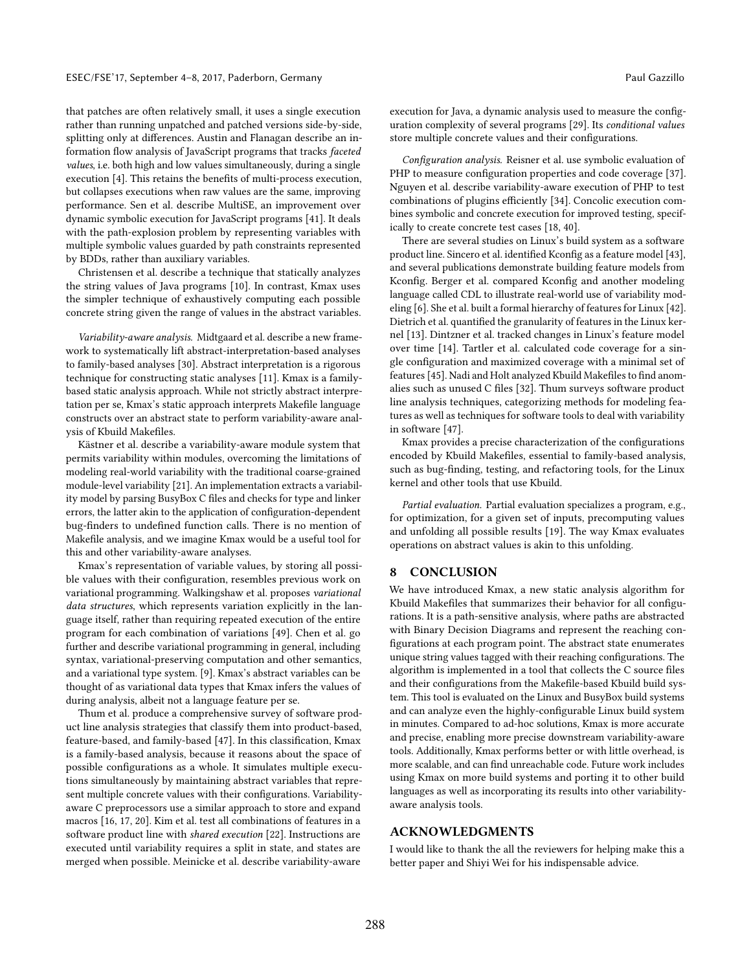that patches are often relatively small, it uses a single execution rather than running unpatched and patched versions side-by-side, splitting only at differences. Austin and Flanagan describe an information flow analysis of JavaScript programs that tracks faceted values, i.e. both high and low values simultaneously, during a single execution [\[4\]](#page-10-24). This retains the benefits of multi-process execution, but collapses executions when raw values are the same, improving performance. Sen et al. describe MultiSE, an improvement over dynamic symbolic execution for JavaScript programs [\[41\]](#page-11-7). It deals with the path-explosion problem by representing variables with multiple symbolic values guarded by path constraints represented by BDDs, rather than auxiliary variables.

Christensen et al. describe a technique that statically analyzes the string values of Java programs [\[10\]](#page-10-25). In contrast, Kmax uses the simpler technique of exhaustively computing each possible concrete string given the range of values in the abstract variables.

Variability-aware analysis. Midtgaard et al. describe a new framework to systematically lift abstract-interpretation-based analyses to family-based analyses [\[30\]](#page-10-26). Abstract interpretation is a rigorous technique for constructing static analyses [\[11\]](#page-10-27). Kmax is a familybased static analysis approach. While not strictly abstract interpretation per se, Kmax's static approach interprets Makefile language constructs over an abstract state to perform variability-aware analysis of Kbuild Makefiles.

Kästner et al. describe a variability-aware module system that permits variability within modules, overcoming the limitations of modeling real-world variability with the traditional coarse-grained module-level variability [\[21\]](#page-10-14). An implementation extracts a variability model by parsing BusyBox C files and checks for type and linker errors, the latter akin to the application of configuration-dependent bug-finders to undefined function calls. There is no mention of Makefile analysis, and we imagine Kmax would be a useful tool for this and other variability-aware analyses.

Kmax's representation of variable values, by storing all possible values with their configuration, resembles previous work on variational programming. Walkingshaw et al. proposes variational data structures, which represents variation explicitly in the language itself, rather than requiring repeated execution of the entire program for each combination of variations [\[49\]](#page-11-8). Chen et al. go further and describe variational programming in general, including syntax, variational-preserving computation and other semantics, and a variational type system. [\[9\]](#page-10-28). Kmax's abstract variables can be thought of as variational data types that Kmax infers the values of during analysis, albeit not a language feature per se.

Thum et al. produce a comprehensive survey of software product line analysis strategies that classify them into product-based, feature-based, and family-based [\[47\]](#page-11-9). In this classification, Kmax is a family-based analysis, because it reasons about the space of possible configurations as a whole. It simulates multiple executions simultaneously by maintaining abstract variables that represent multiple concrete values with their configurations. Variabilityaware C preprocessors use a similar approach to store and expand macros [\[16,](#page-10-29) [17,](#page-10-16) [20\]](#page-10-17). Kim et al. test all combinations of features in a software product line with shared execution [\[22\]](#page-10-30). Instructions are executed until variability requires a split in state, and states are merged when possible. Meinicke et al. describe variability-aware

execution for Java, a dynamic analysis used to measure the configuration complexity of several programs [\[29\]](#page-10-31). Its conditional values store multiple concrete values and their configurations.

Configuration analysis. Reisner et al. use symbolic evaluation of PHP to measure configuration properties and code coverage [\[37\]](#page-10-32). Nguyen et al. describe variability-aware execution of PHP to test combinations of plugins efficiently [\[34\]](#page-10-33). Concolic execution combines symbolic and concrete execution for improved testing, specifically to create concrete test cases [\[18,](#page-10-34) [40\]](#page-10-35).

There are several studies on Linux's build system as a software product line. Sincero et al. identified Kconfig as a feature model [\[43\]](#page-11-1), and several publications demonstrate building feature models from Kconfig. Berger et al. compared Kconfig and another modeling language called CDL to illustrate real-world use of variability modeling [\[6\]](#page-10-13). She et al. built a formal hierarchy of features for Linux [\[42\]](#page-11-10). Dietrich et al. quantified the granularity of features in the Linux kernel [\[13\]](#page-10-7). Dintzner et al. tracked changes in Linux's feature model over time [\[14\]](#page-10-36). Tartler et al. calculated code coverage for a single configuration and maximized coverage with a minimal set of features [\[45\]](#page-11-2). Nadi and Holt analyzed Kbuild Makefiles to find anomalies such as unused C files [\[32\]](#page-10-37). Thum surveys software product line analysis techniques, categorizing methods for modeling features as well as techniques for software tools to deal with variability in software [\[47\]](#page-11-9).

Kmax provides a precise characterization of the configurations encoded by Kbuild Makefiles, essential to family-based analysis, such as bug-finding, testing, and refactoring tools, for the Linux kernel and other tools that use Kbuild.

Partial evaluation. Partial evaluation specializes a program, e.g., for optimization, for a given set of inputs, precomputing values and unfolding all possible results [\[19\]](#page-10-38). The way Kmax evaluates operations on abstract values is akin to this unfolding.

#### 8 CONCLUSION

We have introduced Kmax, a new static analysis algorithm for Kbuild Makefiles that summarizes their behavior for all configurations. It is a path-sensitive analysis, where paths are abstracted with Binary Decision Diagrams and represent the reaching configurations at each program point. The abstract state enumerates unique string values tagged with their reaching configurations. The algorithm is implemented in a tool that collects the C source files and their configurations from the Makefile-based Kbuild build system. This tool is evaluated on the Linux and BusyBox build systems and can analyze even the highly-configurable Linux build system in minutes. Compared to ad-hoc solutions, Kmax is more accurate and precise, enabling more precise downstream variability-aware tools. Additionally, Kmax performs better or with little overhead, is more scalable, and can find unreachable code. Future work includes using Kmax on more build systems and porting it to other build languages as well as incorporating its results into other variabilityaware analysis tools.

#### ACKNOWLEDGMENTS

I would like to thank the all the reviewers for helping make this a better paper and Shiyi Wei for his indispensable advice.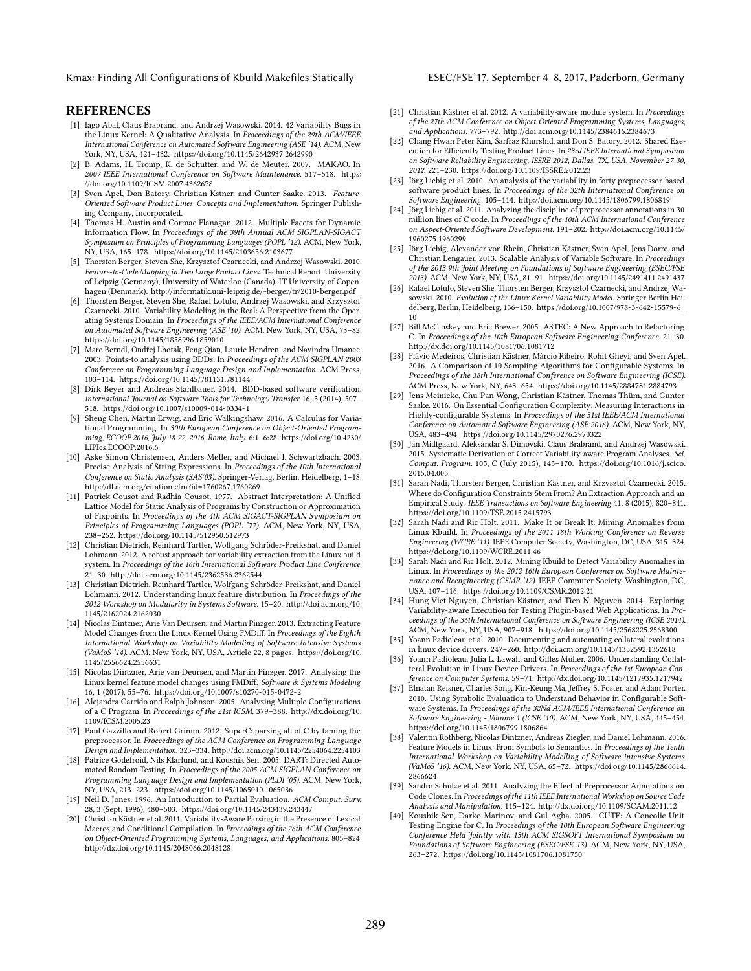Kmax: Finding All Configurations of Kbuild Makefiles Statically ESEC/FSE'17, September 4–8, 2017, Paderborn, Germany

# **REFERENCES**

- <span id="page-10-1"></span>[1] Iago Abal, Claus Brabrand, and Andrzej Wasowski. 2014. 42 Variability Bugs in the Linux Kernel: A Qualitative Analysis. In Proceedings of the 29th ACM/IEEE International Conference on Automated Software Engineering (ASE '14). ACM, New York, NY, USA, 421–432.<https://doi.org/10.1145/2642937.2642990>
- <span id="page-10-20"></span>[2] B. Adams, H. Tromp, K. de Schutter, and W. de Meuter. 2007. MAKAO. In 2007 IEEE International Conference on Software Maintenance. 517–518. [https:](https://doi.org/10.1109/ICSM.2007.4362678) [//doi.org/10.1109/ICSM.2007.4362678](https://doi.org/10.1109/ICSM.2007.4362678)
- <span id="page-10-0"></span>[3] Sven Apel, Don Batory, Christian Kstner, and Gunter Saake. 2013. Feature-Oriented Software Product Lines: Concepts and Implementation. Springer Publishing Company, Incorporated.
- <span id="page-10-24"></span>[4] Thomas H. Austin and Cormac Flanagan. 2012. Multiple Facets for Dynamic Information Flow. In Proceedings of the 39th Annual ACM SIGPLAN-SIGACT Symposium on Principles of Programming Languages (POPL '12). ACM, New York, NY, USA, 165–178.<https://doi.org/10.1145/2103656.2103677>
- <span id="page-10-18"></span>[5] Thorsten Berger, Steven She, Krzysztof Czarnecki, and Andrzej Wasowski. 2010. Feature-to-Code Mapping in Two Large Product Lines. Technical Report. University of Leipzig (Germany), University of Waterloo (Canada), IT University of Copenhagen (Denmark).<http://informatik.uni-leipzig.de/~berger/tr/2010-berger.pdf>
- <span id="page-10-13"></span>[6] Thorsten Berger, Steven She, Rafael Lotufo, Andrzej Wasowski, and Krzysztof Czarnecki. 2010. Variability Modeling in the Real: A Perspective from the Operating Systems Domain. In Proceedings of the IEEE/ACM International Conference on Automated Software Engineering (ASE '10). ACM, New York, NY, USA, 73–82. <https://doi.org/10.1145/1858996.1859010>
- <span id="page-10-22"></span>[7] Marc Berndl, Ondřej Lhoták, Feng Qian, Laurie Hendren, and Navindra Umanee. 2003. Points-to analysis using BDDs. In Proceedings of the ACM SIGPLAN 2003 Conference on Programming Language Design and Inplementation. ACM Press, 103–114.<https://doi.org/10.1145/781131.781144>
- <span id="page-10-23"></span>[8] Dirk Beyer and Andreas Stahlbauer. 2014. BDD-based software verification. International Journal on Software Tools for Technology Transfer 16, 5 (2014), 507– 518.<https://doi.org/10.1007/s10009-014-0334-1>
- <span id="page-10-28"></span>[9] Sheng Chen, Martin Erwig, and Eric Walkingshaw. 2016. A Calculus for Variational Programming. In 30th European Conference on Object-Oriented Programming, ECOOP 2016, July 18-22, 2016, Rome, Italy. 6:1–6:28. [https://doi.org/10.4230/](https://doi.org/10.4230/LIPIcs.ECOOP.2016.6) [LIPIcs.ECOOP.2016.6](https://doi.org/10.4230/LIPIcs.ECOOP.2016.6)
- <span id="page-10-25"></span>[10] Aske Simon Christensen, Anders Møller, and Michael I. Schwartzbach. 2003. Precise Analysis of String Expressions. In Proceedings of the 10th International Conference on Static Analysis (SAS'03). Springer-Verlag, Berlin, Heidelberg, 1–18. <http://dl.acm.org/citation.cfm?id=1760267.1760269>
- <span id="page-10-27"></span>[11] Patrick Cousot and Radhia Cousot. 1977. Abstract Interpretation: A Unified Lattice Model for Static Analysis of Programs by Construction or Approximation of Fixpoints. In Proceedings of the 4th ACM SIGACT-SIGPLAN Symposium on Principles of Programming Languages (POPL '77). ACM, New York, NY, USA, 238–252.<https://doi.org/10.1145/512950.512973>
- <span id="page-10-2"></span>[12] Christian Dietrich, Reinhard Tartler, Wolfgang Schröder-Preikshat, and Daniel Lohmann. 2012. A robust approach for variability extraction from the Linux build system. In Proceedings of the 16th International Software Product Line Conference. 21–30.<http://doi.acm.org/10.1145/2362536.2362544>
- <span id="page-10-7"></span>[13] Christian Dietrich, Reinhard Tartler, Wolfgang Schröder-Preikshat, and Daniel Lohmann. 2012. Understanding linux feature distribution. In Proceedings of the 2012 Workshop on Modularity in Systems Software. 15–20. [http://doi.acm.org/10.](http://doi.acm.org/10.1145/2162024.2162030) [1145/2162024.2162030](http://doi.acm.org/10.1145/2162024.2162030)
- <span id="page-10-36"></span>[14] Nicolas Dintzner, Arie Van Deursen, and Martin Pinzger. 2013. Extracting Feature Model Changes from the Linux Kernel Using FMDiff. In Proceedings of the Eighth International Workshop on Variability Modelling of Software-Intensive Systems (VaMoS '14). ACM, New York, NY, USA, Article 22, 8 pages. [https://doi.org/10.](https://doi.org/10.1145/2556624.2556631) [1145/2556624.2556631](https://doi.org/10.1145/2556624.2556631)
- <span id="page-10-3"></span>[15] Nicolas Dintzner, Arie van Deursen, and Martin Pinzger. 2017. Analysing the Linux kernel feature model changes using FMDiff. Software & Systems Modeling 16, 1 (2017), 55–76.<https://doi.org/10.1007/s10270-015-0472-2>
- <span id="page-10-29"></span>[16] Alejandra Garrido and Ralph Johnson. 2005. Analyzing Multiple Configurations of a C Program. In Proceedings of the 21st ICSM. 379–388. [http://dx.doi.org/10.](http://dx.doi.org/10.1109/ICSM.2005.23) [1109/ICSM.2005.23](http://dx.doi.org/10.1109/ICSM.2005.23)
- <span id="page-10-16"></span>[17] Paul Gazzillo and Robert Grimm. 2012. SuperC: parsing all of C by taming the preprocessor. In Proceedings of the ACM Conference on Programming Language Design and Implementation. 323–334.<http://doi.acm.org/10.1145/2254064.2254103>
- <span id="page-10-34"></span>[18] Patrice Godefroid, Nils Klarlund, and Koushik Sen. 2005. DART: Directed Automated Random Testing. In Proceedings of the 2005 ACM SIGPLAN Conference on Programming Language Design and Implementation (PLDI '05). ACM, New York, NY, USA, 213–223.<https://doi.org/10.1145/1065010.1065036>
- <span id="page-10-38"></span>[19] Neil D. Jones. 1996. An Introduction to Partial Evaluation. ACM Comput. Surv. 28, 3 (Sept. 1996), 480–503.<https://doi.org/10.1145/243439.243447>
- <span id="page-10-17"></span>[20] Christian Kästner et al. 2011. Variability-Aware Parsing in the Presence of Lexical Macros and Conditional Compilation. In Proceedings of the 26th ACM Conference on Object-Oriented Programming Systems, Languages, and Applications. 805–824. <http://dx.doi.org/10.1145/2048066.2048128>
- <span id="page-10-14"></span>[21] Christian Kästner et al. 2012. A variability-aware module system. In Proceedings of the 27th ACM Conference on Object-Oriented Programming Systems, Languages, and Applications. 773–792.<http://doi.acm.org/10.1145/2384616.2384673>
- <span id="page-10-30"></span>[22] Chang Hwan Peter Kim, Sarfraz Khurshid, and Don S. Batory. 2012. Shared Execution for Efficiently Testing Product Lines. In 23rd IEEE International Symposium on Software Reliability Engineering, ISSRE 2012, Dallas, TX, USA, November 27-30, 2012. 221–230.<https://doi.org/10.1109/ISSRE.2012.23>
- <span id="page-10-8"></span>[23] Jörg Liebig et al. 2010. An analysis of the variability in forty preprocessor-based software product lines. In Proceedings of the 32th International Conference on Software Engineering. 105–114.<http://doi.acm.org/10.1145/1806799.1806819>
- [24] Jörg Liebig et al. 2011. Analyzing the discipline of preprocessor annotations in 30 million lines of C code. In Proceedings of the 10th ACM International Conference on Aspect-Oriented Software Development. 191–202. [http://doi.acm.org/10.1145/](http://doi.acm.org/10.1145/1960275.1960299) [1960275.1960299](http://doi.acm.org/10.1145/1960275.1960299)
- <span id="page-10-9"></span>[25] Jörg Liebig, Alexander von Rhein, Christian Kästner, Sven Apel, Jens Dörre, and Christian Lengauer. 2013. Scalable Analysis of Variable Software. In Proceedings of the 2013 9th Joint Meeting on Foundations of Software Engineering (ESEC/FSE 2013). ACM, New York, NY, USA, 81–91.<https://doi.org/10.1145/2491411.2491437>
- <span id="page-10-4"></span>[26] Rafael Lotufo, Steven She, Thorsten Berger, Krzysztof Czarnecki, and Andrzej Wasowski. 2010. Evolution of the Linux Kernel Variability Model. Springer Berlin Heidelberg, Berlin, Heidelberg, 136–150. [https://doi.org/10.1007/978-3-642-15579-6\\_](https://doi.org/10.1007/978-3-642-15579-6_10) [10](https://doi.org/10.1007/978-3-642-15579-6_10)
- <span id="page-10-15"></span>[27] Bill McCloskey and Eric Brewer. 2005. ASTEC: A New Approach to Refactoring C. In Proceedings of the 10th European Software Engineering Conference. 21–30. <http://dx.doi.org/10.1145/1081706.1081712>
- <span id="page-10-21"></span>[28] Flávio Medeiros, Christian Kästner, Márcio Ribeiro, Rohit Gheyi, and Sven Apel. 2016. A Comparison of 10 Sampling Algorithms for Configurable Systems. In Proceedings of the 38th International Conference on Software Engineering (ICSE). ACM Press, New York, NY, 643–654.<https://doi.org/10.1145/2884781.2884793>
- <span id="page-10-31"></span>[29] Jens Meinicke, Chu-Pan Wong, Christian Kästner, Thomas Thüm, and Gunter Saake. 2016. On Essential Configuration Complexity: Measuring Interactions in Highly-configurable Systems. In Proceedings of the 31st IEEE/ACM International Conference on Automated Software Engineering (ASE 2016). ACM, New York, NY, USA, 483–494.<https://doi.org/10.1145/2970276.2970322>
- <span id="page-10-26"></span>[30] Jan Midtgaard, Aleksandar S. Dimovski, Claus Brabrand, and Andrzej Wasowski. 2015. Systematic Derivation of Correct Variability-aware Program Analyses. Sci. Comput. Program. 105, C (July 2015), 145–170. [https://doi.org/10.1016/j.scico.](https://doi.org/10.1016/j.scico.2015.04.005) [2015.04.005](https://doi.org/10.1016/j.scico.2015.04.005)
- <span id="page-10-5"></span>[31] Sarah Nadi, Thorsten Berger, Christian Kästner, and Krzysztof Czarnecki. 2015. Where do Configuration Constraints Stem From? An Extraction Approach and an Empirical Study. IEEE Transactions on Software Engineering 41, 8 (2015), 820–841. <https://doi.org/10.1109/TSE.2015.2415793>
- <span id="page-10-37"></span>[32] Sarah Nadi and Ric Holt. 2011. Make It or Break It: Mining Anomalies from Linux Kbuild. In Proceedings of the 2011 18th Working Conference on Reverse Engineering (WCRE '11). IEEE Computer Society, Washington, DC, USA, 315–324. <https://doi.org/10.1109/WCRE.2011.46>
- <span id="page-10-19"></span>[33] Sarah Nadi and Ric Holt. 2012. Mining Kbuild to Detect Variability Anomalies in Linux. In Proceedings of the 2012 16th European Conference on Software Maintenance and Reengineering (CSMR '12). IEEE Computer Society, Washington, DC, USA, 107–116.<https://doi.org/10.1109/CSMR.2012.21>
- <span id="page-10-33"></span>[34] Hung Viet Nguyen, Christian Kästner, and Tien N. Nguyen. 2014. Exploring Variability-aware Execution for Testing Plugin-based Web Applications. In Proceedings of the 36th International Conference on Software Engineering (ICSE 2014). ACM, New York, NY, USA, 907–918.<https://doi.org/10.1145/2568225.2568300>
- <span id="page-10-11"></span>[35] Yoann Padioleau et al. 2010. Documenting and automating collateral evolutions in linux device drivers. 247–260.<http://doi.acm.org/10.1145/1352592.1352618>
- <span id="page-10-12"></span>[36] Yoann Padioleau, Julia L. Lawall, and Gilles Muller. 2006. Understanding Collatteral Evolution in Linux Device Drivers. In Proceedings of the 1st European Conference on Computer Systems. 59–71.<http://dx.doi.org/10.1145/1217935.1217942>
- <span id="page-10-32"></span>[37] Elnatan Reisner, Charles Song, Kin-Keung Ma, Jeffrey S. Foster, and Adam Porter. 2010. Using Symbolic Evaluation to Understand Behavior in Configurable Software Systems. In Proceedings of the 32Nd ACM/IEEE International Conference on Software Engineering - Volume 1 (ICSE '10). ACM, New York, NY, USA, 445–454. <https://doi.org/10.1145/1806799.1806864>
- <span id="page-10-6"></span>Valentin Rothberg, Nicolas Dintzner, Andreas Ziegler, and Daniel Lohmann. 2016. Feature Models in Linux: From Symbols to Semantics. In Proceedings of the Tenth International Workshop on Variability Modelling of Software-intensive Systems (VaMoS '16). ACM, New York, NY, USA, 65–72. [https://doi.org/10.1145/2866614.](https://doi.org/10.1145/2866614.2866624) [2866624](https://doi.org/10.1145/2866614.2866624)
- <span id="page-10-10"></span>[39] Sandro Schulze et al. 2011. Analyzing the Effect of Preprocessor Annotations on Code Clones. In Proceedings of the 11th IEEE International Workshop on Source Code Analysis and Manipulation. 115–124.<http://dx.doi.org/10.1109/SCAM.2011.12>
- <span id="page-10-35"></span>[40] Koushik Sen, Darko Marinov, and Gul Agha. 2005. CUTE: A Concolic Unit Testing Engine for C. In Proceedings of the 10th European Software Engineering Conference Held Jointly with 13th ACM SIGSOFT International Symposium on Foundations of Software Engineering (ESEC/FSE-13). ACM, New York, NY, USA, 263–272.<https://doi.org/10.1145/1081706.1081750>